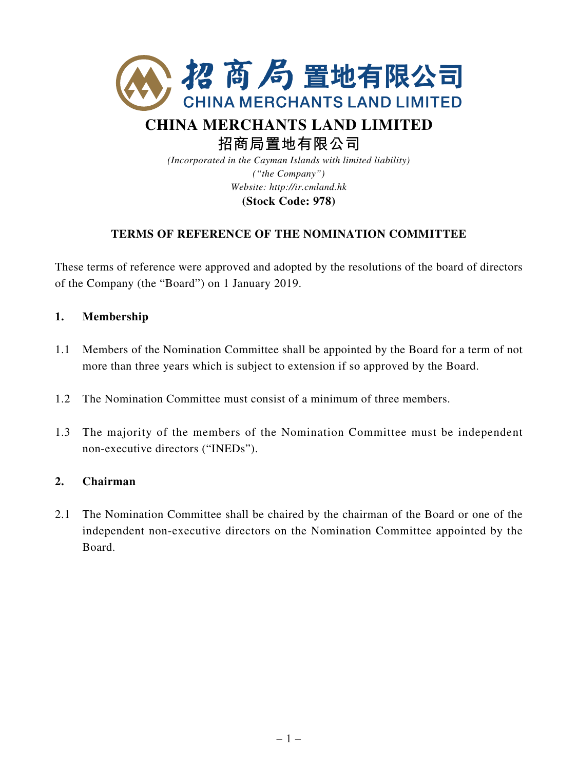

# **CHINA MERCHANTS LAND LIMITED 招商局置地有限公司**

*(Incorporated in the Cayman Islands with limited liability) ("the Company") Website: http://ir.cmland.hk* **(Stock Code: 978)**

# **TERMS OF REFERENCE OF THE NOMINATION COMMITTEE**

These terms of reference were approved and adopted by the resolutions of the board of directors of the Company (the "Board") on 1 January 2019.

# **1. Membership**

- 1.1 Members of the Nomination Committee shall be appointed by the Board for a term of not more than three years which is subject to extension if so approved by the Board.
- 1.2 The Nomination Committee must consist of a minimum of three members.
- 1.3 The majority of the members of the Nomination Committee must be independent non-executive directors ("INEDs").

### **2. Chairman**

2.1 The Nomination Committee shall be chaired by the chairman of the Board or one of the independent non-executive directors on the Nomination Committee appointed by the Board.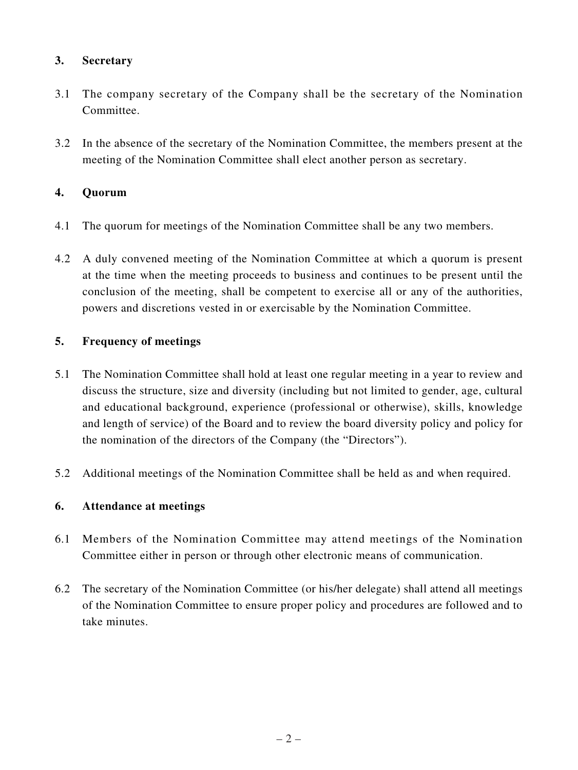# **3. Secretary**

- 3.1 The company secretary of the Company shall be the secretary of the Nomination Committee.
- 3.2 In the absence of the secretary of the Nomination Committee, the members present at the meeting of the Nomination Committee shall elect another person as secretary.

## **4. Quorum**

- 4.1 The quorum for meetings of the Nomination Committee shall be any two members.
- 4.2 A duly convened meeting of the Nomination Committee at which a quorum is present at the time when the meeting proceeds to business and continues to be present until the conclusion of the meeting, shall be competent to exercise all or any of the authorities, powers and discretions vested in or exercisable by the Nomination Committee.

# **5. Frequency of meetings**

- 5.1 The Nomination Committee shall hold at least one regular meeting in a year to review and discuss the structure, size and diversity (including but not limited to gender, age, cultural and educational background, experience (professional or otherwise), skills, knowledge and length of service) of the Board and to review the board diversity policy and policy for the nomination of the directors of the Company (the "Directors").
- 5.2 Additional meetings of the Nomination Committee shall be held as and when required.

### **6. Attendance at meetings**

- 6.1 Members of the Nomination Committee may attend meetings of the Nomination Committee either in person or through other electronic means of communication.
- 6.2 The secretary of the Nomination Committee (or his/her delegate) shall attend all meetings of the Nomination Committee to ensure proper policy and procedures are followed and to take minutes.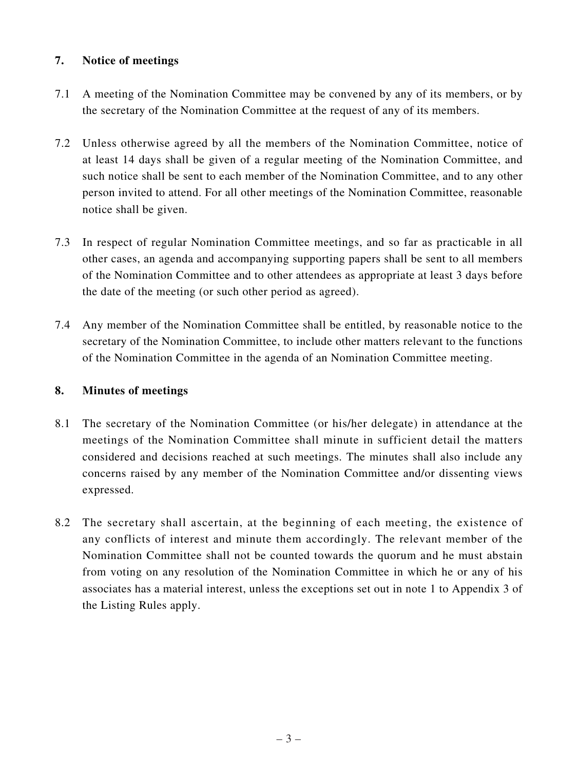# **7. Notice of meetings**

- 7.1 A meeting of the Nomination Committee may be convened by any of its members, or by the secretary of the Nomination Committee at the request of any of its members.
- 7.2 Unless otherwise agreed by all the members of the Nomination Committee, notice of at least 14 days shall be given of a regular meeting of the Nomination Committee, and such notice shall be sent to each member of the Nomination Committee, and to any other person invited to attend. For all other meetings of the Nomination Committee, reasonable notice shall be given.
- 7.3 In respect of regular Nomination Committee meetings, and so far as practicable in all other cases, an agenda and accompanying supporting papers shall be sent to all members of the Nomination Committee and to other attendees as appropriate at least 3 days before the date of the meeting (or such other period as agreed).
- 7.4 Any member of the Nomination Committee shall be entitled, by reasonable notice to the secretary of the Nomination Committee, to include other matters relevant to the functions of the Nomination Committee in the agenda of an Nomination Committee meeting.

### **8. Minutes of meetings**

- 8.1 The secretary of the Nomination Committee (or his/her delegate) in attendance at the meetings of the Nomination Committee shall minute in sufficient detail the matters considered and decisions reached at such meetings. The minutes shall also include any concerns raised by any member of the Nomination Committee and/or dissenting views expressed.
- 8.2 The secretary shall ascertain, at the beginning of each meeting, the existence of any conflicts of interest and minute them accordingly. The relevant member of the Nomination Committee shall not be counted towards the quorum and he must abstain from voting on any resolution of the Nomination Committee in which he or any of his associates has a material interest, unless the exceptions set out in note 1 to Appendix 3 of the Listing Rules apply.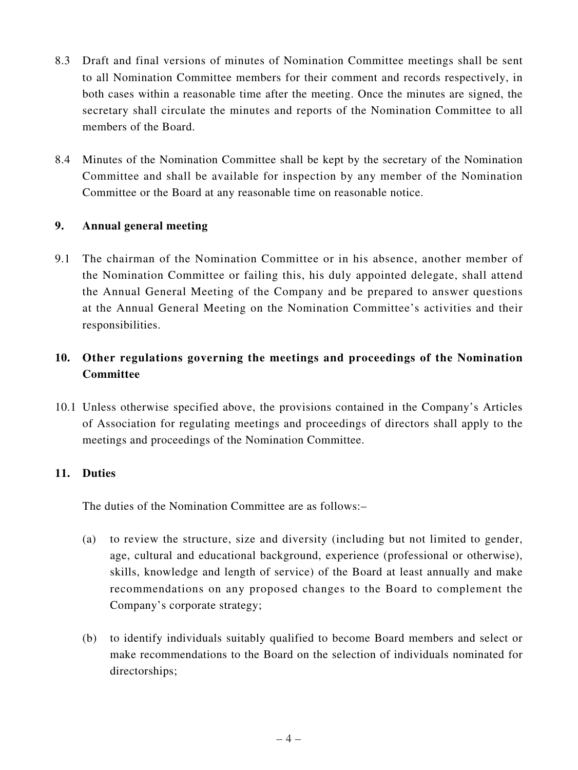- 8.3 Draft and final versions of minutes of Nomination Committee meetings shall be sent to all Nomination Committee members for their comment and records respectively, in both cases within a reasonable time after the meeting. Once the minutes are signed, the secretary shall circulate the minutes and reports of the Nomination Committee to all members of the Board.
- 8.4 Minutes of the Nomination Committee shall be kept by the secretary of the Nomination Committee and shall be available for inspection by any member of the Nomination Committee or the Board at any reasonable time on reasonable notice.

### **9. Annual general meeting**

9.1 The chairman of the Nomination Committee or in his absence, another member of the Nomination Committee or failing this, his duly appointed delegate, shall attend the Annual General Meeting of the Company and be prepared to answer questions at the Annual General Meeting on the Nomination Committee's activities and their responsibilities.

# **10. Other regulations governing the meetings and proceedings of the Nomination Committee**

10.1 Unless otherwise specified above, the provisions contained in the Company's Articles of Association for regulating meetings and proceedings of directors shall apply to the meetings and proceedings of the Nomination Committee.

# **11. Duties**

The duties of the Nomination Committee are as follows:–

- (a) to review the structure, size and diversity (including but not limited to gender, age, cultural and educational background, experience (professional or otherwise), skills, knowledge and length of service) of the Board at least annually and make recommendations on any proposed changes to the Board to complement the Company's corporate strategy;
- (b) to identify individuals suitably qualified to become Board members and select or make recommendations to the Board on the selection of individuals nominated for directorships;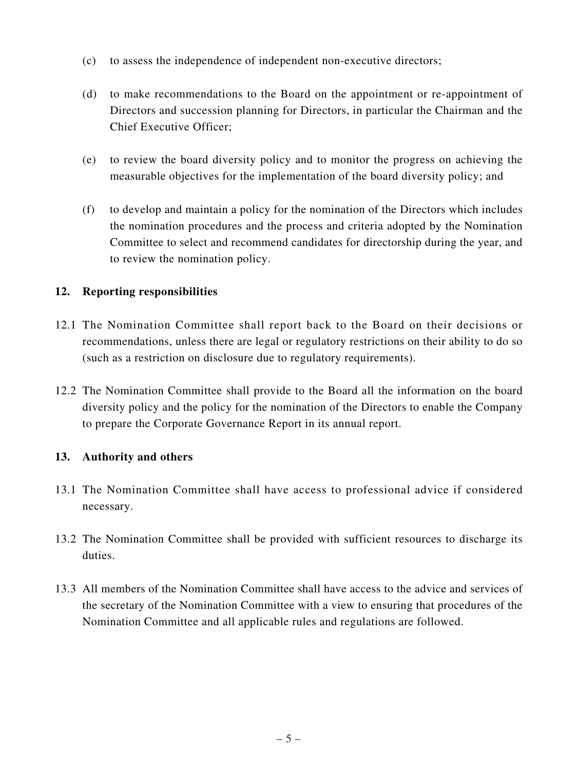- (c) to assess the independence of independent non-executive directors;
- (d) to make recommendations to the Board on the appointment or re-appointment of Directors and succession planning for Directors, in particular the Chairman and the Chief Executive Officer;
- (e) to review the board diversity policy and to monitor the progress on achieving the measurable objectives for the implementation of the board diversity policy; and
- (f) to develop and maintain a policy for the nomination of the Directors which includes the nomination procedures and the process and criteria adopted by the Nomination Committee to select and recommend candidates for directorship during the year, and to review the nomination policy.

### **12. Reporting responsibilities**

- 12.1 The Nomination Committee shall report back to the Board on their decisions or recommendations, unless there are legal or regulatory restrictions on their ability to do so (such as a restriction on disclosure due to regulatory requirements).
- 12.2 The Nomination Committee shall provide to the Board all the information on the board diversity policy and the policy for the nomination of the Directors to enable the Company to prepare the Corporate Governance Report in its annual report.

### **13. Authority and others**

- 13.1 The Nomination Committee shall have access to professional advice if considered necessary.
- 13.2 The Nomination Committee shall be provided with sufficient resources to discharge its duties.
- 13.3 All members of the Nomination Committee shall have access to the advice and services of the secretary of the Nomination Committee with a view to ensuring that procedures of the Nomination Committee and all applicable rules and regulations are followed.